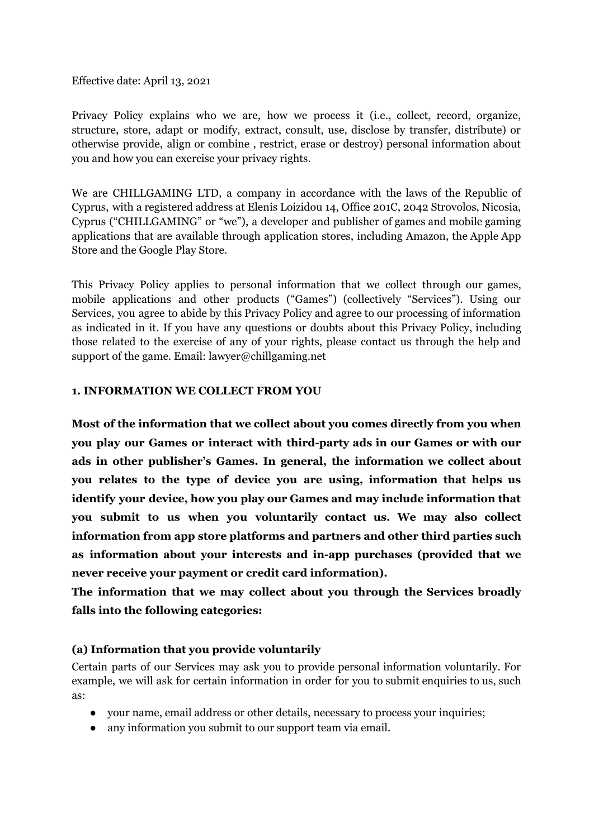Effective date: April 13, 2021

Privacy Policy explains who we are, how we process it (i.e., collect, record, organize, structure, store, adapt or modify, extract, consult, use, disclose by transfer, distribute) or otherwise provide, align or combine , restrict, erase or destroy) personal information about you and how you can exercise your privacy rights.

We are CHILLGAMING LTD, a company in accordance with the laws of the Republic of Cyprus, with a registered address at Elenis Loizidou 14, Office 201C, 2042 Strovolos, Nicosia, Cyprus ("CHILLGAMING" or "we"), a developer and publisher of games and mobile gaming applications that are available through application stores, including Amazon, the Apple App Store and the Google Play Store.

This Privacy Policy applies to personal information that we collect through our games, mobile applications and other products ("Games") (collectively "Services"). Using our Services, you agree to abide by this Privacy Policy and agree to our processing of information as indicated in it. If you have any questions or doubts about this Privacy Policy, including those related to the exercise of any of your rights, please contact us through the help and support of the game. Email: lawyer@chillgaming.net

#### **1. INFORMATION WE COLLECT FROM YOU**

**Most of the information that we collect about you comes directly from you when you play our Games or interact with third-party ads in our Games or with our ads in other publisher's Games. In general, the information we collect about you relates to the type of device you are using, information that helps us identify your device, how you play our Games and may include information that you submit to us when you voluntarily contact us. We may also collect information from app store platforms and partners and other third parties such as information about your interests and in-app purchases (provided that we never receive your payment or credit card information).**

**The information that we may collect about you through the Services broadly falls into the following categories:**

#### **(a) Information that you provide voluntarily**

Certain parts of our Services may ask you to provide personal information voluntarily. For example, we will ask for certain information in order for you to submit enquiries to us, such as:

- your name, email address or other details, necessary to process your inquiries;
- any information you submit to our support team via email.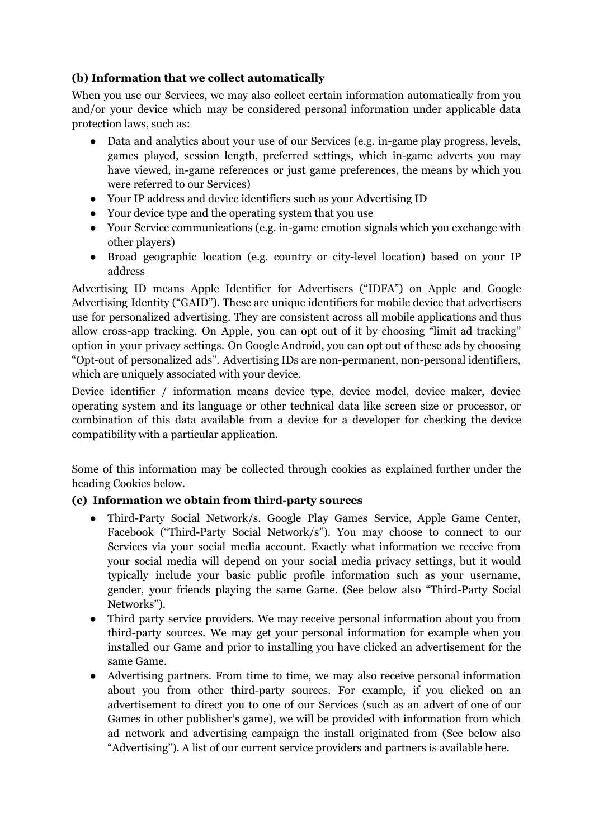# **(b) Information that we collect automatically**

When you use our Services, we may also collect certain information automatically from you and/or your device which may be considered personal information under applicable data protection laws, such as:

- Data and analytics about your use of our Services (e.g. in-game play progress, levels, games played, session length, preferred settings, which in-game adverts you may have viewed, in-game references or just game preferences, the means by which you were referred to our Services)
- Your IP address and device identifiers such as your Advertising ID
- Your device type and the operating system that you use
- Your Service communications (e.g. in-game emotion signals which you exchange with other players)
- Broad geographic location (e.g. country or city-level location) based on your IP address

Advertising ID means Apple Identifier for Advertisers ("IDFA") on Apple and Google Advertising Identity ("GAID"). These are unique identifiers for mobile device that advertisers use for personalized advertising. They are consistent across all mobile applications and thus allow cross-app tracking. On Apple, you can opt out of it by choosing "limit ad tracking" option in your privacy settings. On Google Android, you can opt out of these ads by choosing "Opt-out of personalized ads". Advertising IDs are non-permanent, non-personal identifiers, which are uniquely associated with your device.

Device identifier / information means device type, device model, device maker, device operating system and its language or other technical data like screen size or processor, or combination of this data available from a device for a developer for checking the device compatibility with a particular application.

Some of this information may be collected through cookies as explained further under the heading Cookies below.

### **(c) Information we obtain from third-party sources**

- Third-Party Social Network/s. Google Play Games Service, Apple Game Center, Facebook ("Third-Party Social Network/s"). You may choose to connect to our Services via your social media account. Exactly what information we receive from your social media will depend on your social media privacy settings, but it would typically include your basic public profile information such as your username, gender, your friends playing the same Game. (See below also "Third-Party Social Networks").
- Third party service providers. We may receive personal information about you from third-party sources. We may get your personal information for example when you installed our Game and prior to installing you have clicked an advertisement for the same Game.
- Advertising partners. From time to time, we may also receive personal information about you from other third-party sources. For example, if you clicked on an advertisement to direct you to one of our Services (such as an advert of one of our Games in other publisher's game), we will be provided with information from which ad network and advertising campaign the install originated from (See below also "Advertising"). A list of our current service providers and partners is available [here](https://www.playgendary.com/third-party-service-providers).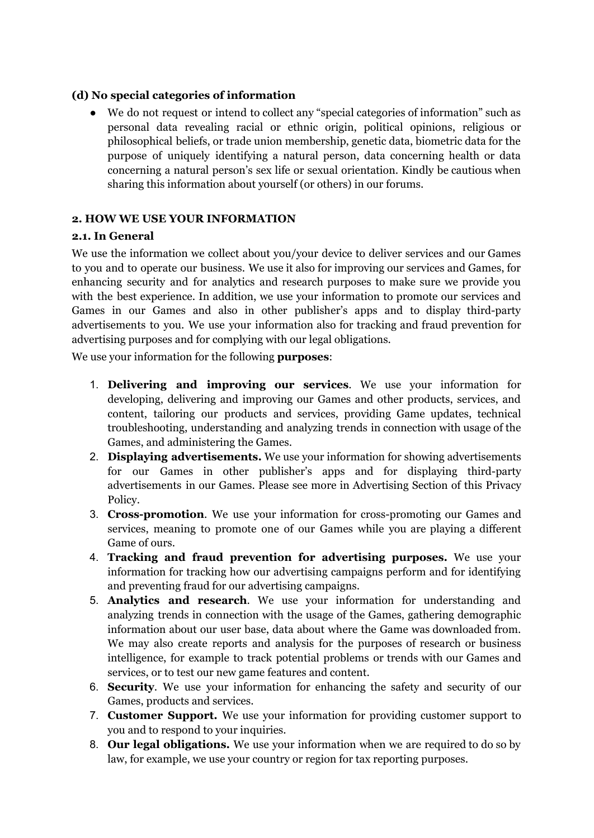#### **(d) No special categories of information**

● We do not request or intend to collect any "special categories of information" such as personal data revealing racial or ethnic origin, political opinions, religious or philosophical beliefs, or trade union membership, genetic data, biometric data for the purpose of uniquely identifying a natural person, data concerning health or data concerning a natural person's sex life or sexual orientation. Kindly be cautious when sharing this information about yourself (or others) in our forums.

### **2. HOW WE USE YOUR INFORMATION**

#### **2.1. In General**

We use the information we collect about you/your device to deliver services and our Games to you and to operate our business. We use it also for improving our services and Games, for enhancing security and for analytics and research purposes to make sure we provide you with the best experience. In addition, we use your information to promote our services and Games in our Games and also in other publisher's apps and to display third-party advertisements to you. We use your information also for tracking and fraud prevention for advertising purposes and for complying with our legal obligations.

We use your information for the following **purposes**:

- 1. **Delivering and improving our services**. We use your information for developing, delivering and improving our Games and other products, services, and content, tailoring our products and services, providing Game updates, technical troubleshooting, understanding and analyzing trends in connection with usage of the Games, and administering the Games.
- 2. **Displaying advertisements.** We use your information for showing advertisements for our Games in other publisher's apps and for displaying third-party advertisements in our Games. Please see more in Advertising Section of this Privacy Policy.
- 3. **Cross-promotion**. We use your information for cross-promoting our Games and services, meaning to promote one of our Games while you are playing a different Game of ours.
- 4. **Tracking and fraud prevention for advertising purposes.** We use your information for tracking how our advertising campaigns perform and for identifying and preventing fraud for our advertising campaigns.
- 5. **Analytics and research**. We use your information for understanding and analyzing trends in connection with the usage of the Games, gathering demographic information about our user base, data about where the Game was downloaded from. We may also create reports and analysis for the purposes of research or business intelligence, for example to track potential problems or trends with our Games and services, or to test our new game features and content.
- 6. **Security**. We use your information for enhancing the safety and security of our Games, products and services.
- 7. **Customer Support.** We use your information for providing customer support to you and to respond to your inquiries.
- 8. **Our legal obligations.** We use your information when we are required to do so by law, for example, we use your country or region for tax reporting purposes.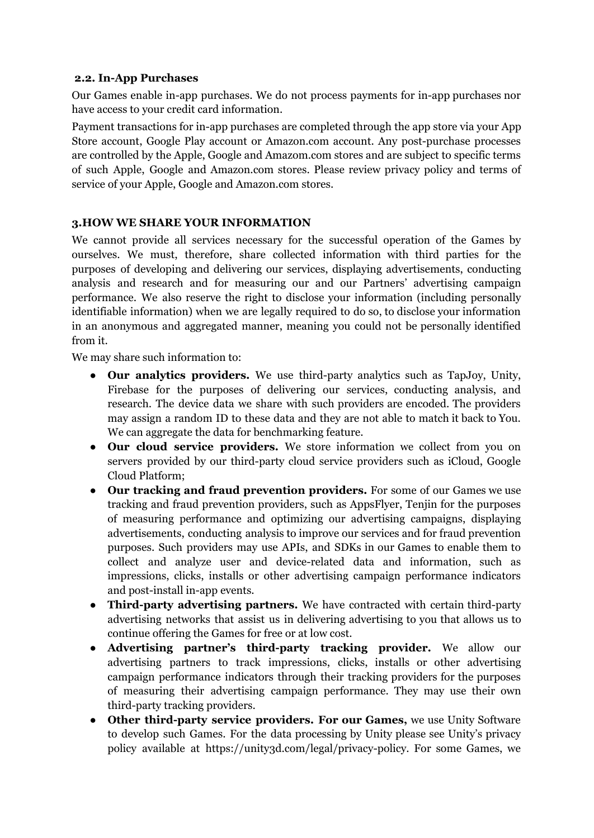#### **2.2. In-App Purchases**

Our Games enable in-app purchases. We do not process payments for in-app purchases nor have access to your credit card information.

Payment transactions for in-app purchases are completed through the app store via your App Store account, Google Play account or Amazon.com account. Any post-purchase processes are controlled by the Apple, Google and Amazom.com stores and are subject to specific terms of such Apple, Google and Amazon.com stores. Please review privacy policy and terms of service of your Apple, Google and Amazon.com stores.

### **3.HOW WE SHARE YOUR INFORMATION**

We cannot provide all services necessary for the successful operation of the Games by ourselves. We must, therefore, share collected information with third parties for the purposes of developing and delivering our services, displaying advertisements, conducting analysis and research and for measuring our and our Partners' advertising campaign performance. We also reserve the right to disclose your information (including personally identifiable information) when we are legally required to do so, to disclose your information in an anonymous and aggregated manner, meaning you could not be personally identified from it.

We may share such information to:

- **Our analytics providers.** We use third-party analytics such as TapJoy, Unity, Firebase for the purposes of delivering our services, conducting analysis, and research. The device data we share with such providers are encoded. The providers may assign a random ID to these data and they are not able to match it back to You. We can aggregate the data for benchmarking feature.
- **Our cloud service providers.** We store information we collect from you on servers provided by our third-party cloud service providers such as iCloud, Google Cloud Platform;
- **Our tracking and fraud prevention providers.** For some of our Games we use tracking and fraud prevention providers, such as AppsFlyer, Tenjin for the purposes of measuring performance and optimizing our advertising campaigns, displaying advertisements, conducting analysis to improve our services and for fraud prevention purposes. Such providers may use APIs, and SDKs in our Games to enable them to collect and analyze user and device-related data and information, such as impressions, clicks, installs or other advertising campaign performance indicators and post-install in-app events.
- **Third-party advertising partners.** We have contracted with certain third-party advertising networks that assist us in delivering advertising to you that allows us to continue offering the Games for free or at low cost.
- **Advertising partner's third-party tracking provider.** We allow our advertising partners to track impressions, clicks, installs or other advertising campaign performance indicators through their tracking providers for the purposes of measuring their advertising campaign performance. They may use their own third-party tracking providers.
- **Other third-party service providers. For our Games,** we use Unity Software to develop such Games. For the data processing by Unity please see Unity's privacy policy available at [https://unity3d.com/legal/privacy-policy.](https://unity3d.com/legal/privacy-policy) For some Games, we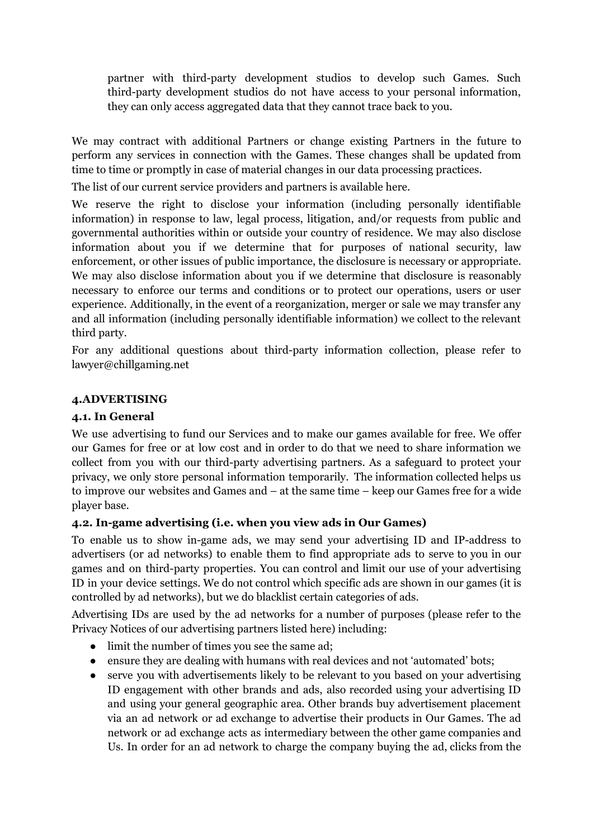partner with third-party development studios to develop such Games. Such third-party development studios do not have access to your personal information, they can only access aggregated data that they cannot trace back to you.

We may contract with additional Partners or change existing Partners in the future to perform any services in connection with the Games. These changes shall be updated from time to time or promptly in case of material changes in our data processing practices.

The list of our current service providers and partners is available [here.](https://www.playgendary.com/third-party-service-providers)

We reserve the right to disclose your information (including personally identifiable information) in response to law, legal process, litigation, and/or requests from public and governmental authorities within or outside your country of residence. We may also disclose information about you if we determine that for purposes of national security, law enforcement, or other issues of public importance, the disclosure is necessary or appropriate. We may also disclose information about you if we determine that disclosure is reasonably necessary to enforce our terms and conditions or to protect our operations, users or user experience. Additionally, in the event of a reorganization, merger or sale we may transfer any and all information (including personally identifiable information) we collect to the relevant third party.

For any additional questions about third-party information collection, please refer to lawyer@chillgaming.net

# **4.ADVERTISING**

## **4.1. In General**

We use advertising to fund our Services and to make our games available for free. We offer our Games for free or at low cost and in order to do that we need to share information we collect from you with our third-party advertising partners. As a safeguard to protect your privacy, we only store personal information temporarily. The information collected helps us to improve our websites and Games and – at the same time – keep our Games free for a wide player base.

### **4.2. In-game advertising (i.e. when you view ads in Our Games)**

To enable us to show in-game ads, we may send your advertising ID and IP-address to advertisers (or ad networks) to enable them to find appropriate ads to serve to you in our games and on third-party properties. You can control and limit our use of your advertising ID in your device settings. We do not control which specific ads are shown in our games (it is controlled by ad networks), but we do blacklist certain categories of ads.

Advertising IDs are used by the ad networks for a number of purposes (please refer to the Privacy Notices of our advertising partners listed [here\)](https://www.playgendary.com/third-party-service-providers) including:

- limit the number of times you see the same ad;
- ensure they are dealing with humans with real devices and not 'automated' bots;
- serve you with advertisements likely to be relevant to you based on your advertising ID engagement with other brands and ads, also recorded using your advertising ID and using your general geographic area. Other brands buy advertisement placement via an ad network or ad exchange to advertise their products in Our Games. The ad network or ad exchange acts as intermediary between the other game companies and Us. In order for an ad network to charge the company buying the ad, clicks from the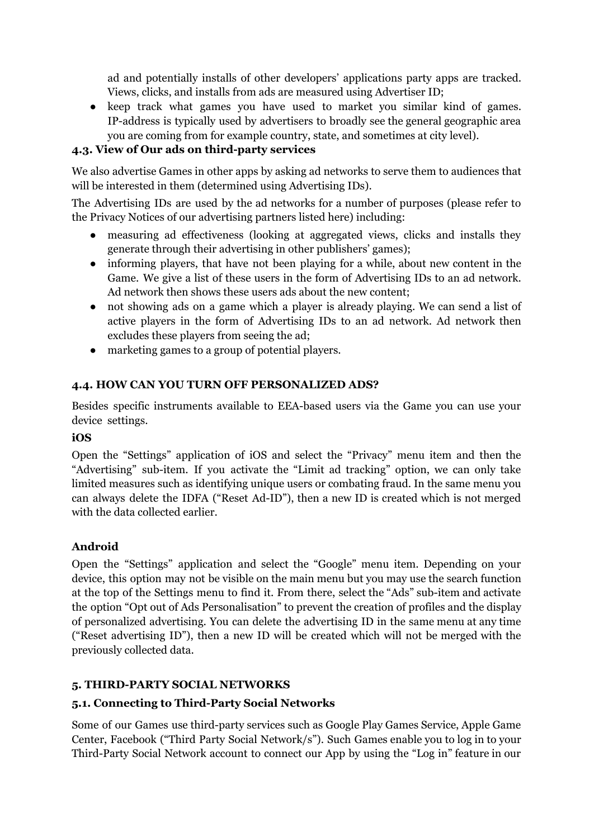ad and potentially installs of other developers' applications party apps are tracked. Views, clicks, and installs from ads are measured using Advertiser ID;

• keep track what games you have used to market you similar kind of games. IP-address is typically used by advertisers to broadly see the general geographic area you are coming from for example country, state, and sometimes at city level).

# **4.3. View of Our ads on third-party services**

We also advertise Games in other apps by asking ad networks to serve them to audiences that will be interested in them (determined using Advertising IDs).

The Advertising IDs are used by the ad networks for a number of purposes (please refer to the Privacy Notices of our advertising partners listed [here\)](https://www.playgendary.com/third-party-service-providers) including:

- measuring ad effectiveness (looking at aggregated views, clicks and installs they generate through their advertising in other publishers' games);
- informing players, that have not been playing for a while, about new content in the Game. We give a list of these users in the form of Advertising IDs to an ad network. Ad network then shows these users ads about the new content;
- not showing ads on a game which a player is already playing. We can send a list of active players in the form of Advertising IDs to an ad network. Ad network then excludes these players from seeing the ad;
- marketing games to a group of potential players.

# **4.4. HOW CAN YOU TURN OFF PERSONALIZED ADS?**

Besides specific instruments available to EEA-based users via the Game you can use your device settings.

### **iOS**

Open the "Settings" application of iOS and select the "Privacy" menu item and then the "Advertising" sub-item. If you activate the "Limit ad tracking" option, we can only take limited measures such as identifying unique users or combating fraud. In the same menu you can always delete the IDFA ("Reset Ad-ID"), then a new ID is created which is not merged with the data collected earlier.

### **Android**

Open the "Settings" application and select the "Google" menu item. Depending on your device, this option may not be visible on the main menu but you may use the search function at the top of the Settings menu to find it. From there, select the "Ads" sub-item and activate the option "Opt out of Ads Personalisation" to prevent the creation of profiles and the display of personalized advertising. You can delete the advertising ID in the same menu at any time ("Reset advertising ID"), then a new ID will be created which will not be merged with the previously collected data.

### **5. THIRD-PARTY SOCIAL NETWORKS**

### **5.1. Connecting to Third-Party Social Networks**

Some of our Games use third-party services such as Google Play Games Service, Apple Game Center, Facebook ("Third Party Social Network/s"). Such Games enable you to log in to your Third-Party Social Network account to connect our App by using the "Log in" feature in our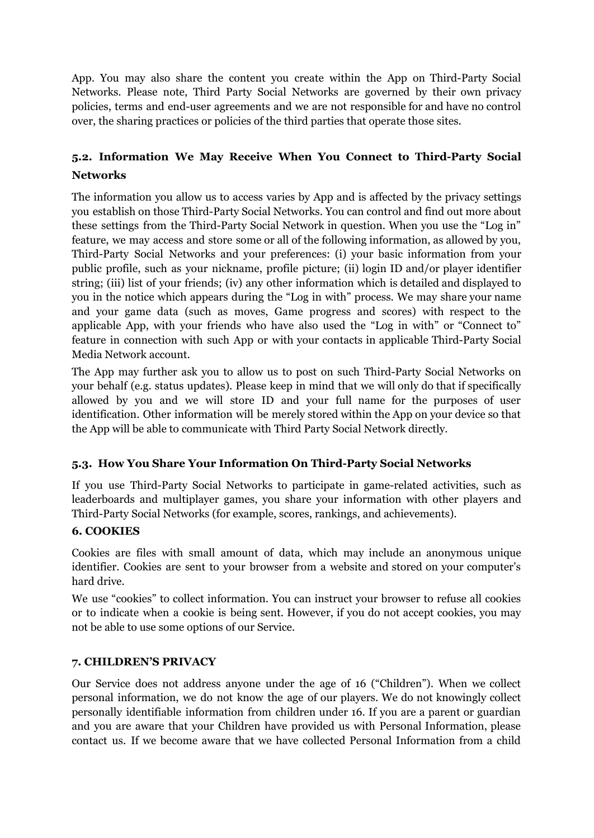App. You may also share the content you create within the App on Third-Party Social Networks. Please note, Third Party Social Networks are governed by their own privacy policies, terms and end-user agreements and we are not responsible for and have no control over, the sharing practices or policies of the third parties that operate those sites.

# **5.2. Information We May Receive When You Connect to Third-Party Social Networks**

The information you allow us to access varies by App and is affected by the privacy settings you establish on those Third-Party Social Networks. You can control and find out more about these settings from the Third-Party Social Network in question. When you use the "Log in" feature, we may access and store some or all of the following information, as allowed by you, Third-Party Social Networks and your preferences: (i) your basic information from your public profile, such as your nickname, profile picture; (ii) login ID and/or player identifier string; (iii) list of your friends; (iv) any other information which is detailed and displayed to you in the notice which appears during the "Log in with" process. We may share your name and your game data (such as moves, Game progress and scores) with respect to the applicable App, with your friends who have also used the "Log in with" or "Connect to" feature in connection with such App or with your contacts in applicable Third-Party Social Media Network account.

The App may further ask you to allow us to post on such Third-Party Social Networks on your behalf (e.g. status updates). Please keep in mind that we will only do that if specifically allowed by you and we will store ID and your full name for the purposes of user identification. Other information will be merely stored within the App on your device so that the App will be able to communicate with Third Party Social Network directly.

# **5.3. How You Share Your Information On Third-Party Social Networks**

If you use Third-Party Social Networks to participate in game-related activities, such as leaderboards and multiplayer games, you share your information with other players and Third-Party Social Networks (for example, scores, rankings, and achievements).

### **6. COOKIES**

Cookies are files with small amount of data, which may include an anonymous unique identifier. Cookies are sent to your browser from a website and stored on your computer's hard drive.

We use "cookies" to collect information. You can instruct your browser to refuse all cookies or to indicate when a cookie is being sent. However, if you do not accept cookies, you may not be able to use some options of our Service.

### **7. CHILDREN'S PRIVACY**

Our Service does not address anyone under the age of 16 ("Children"). When we collect personal information, we do not know the age of our players. We do not knowingly collect personally identifiable information from children under 16. If you are a parent or guardian and you are aware that your Children have provided us with Personal Information, please contact us. If we become aware that we have collected Personal Information from a child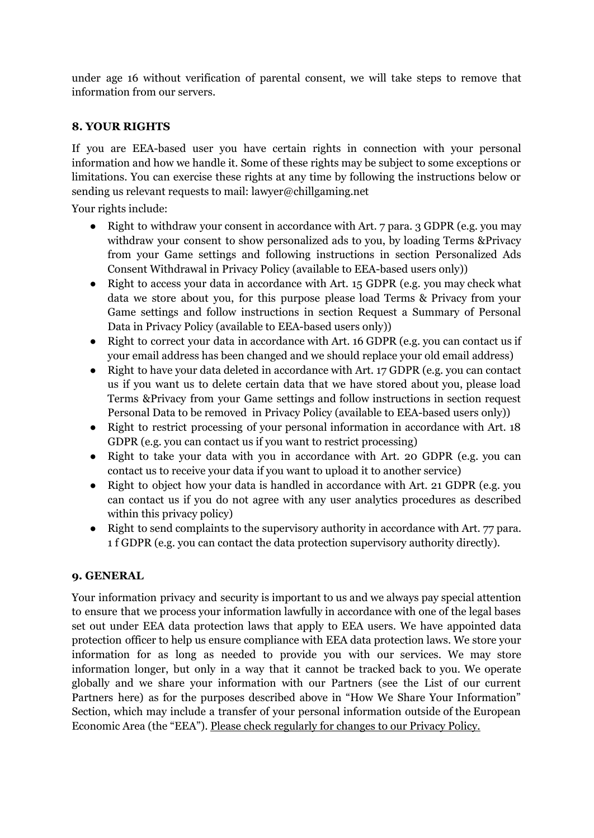under age 16 without verification of parental consent, we will take steps to remove that information from our servers.

### **8. YOUR RIGHTS**

If you are EEA-based user you have certain rights in connection with your personal information and how we handle it. Some of these rights may be subject to some exceptions or limitations. You can exercise these rights at any time by following the instructions below or sending us relevant requests to mail: lawyer@chillgaming.net

Your rights include:

- Right to withdraw your consent in accordance with Art. 7 para. 3 GDPR (e.g. you may withdraw your consent to show personalized ads to you, by loading Terms &Privacy from your Game settings and following instructions in section Personalized Ads Consent Withdrawal in Privacy Policy (available to EEA-based users only))
- Right to access your data in accordance with Art. 15 GDPR (e.g. you may check what data we store about you, for this purpose please load Terms & Privacy from your Game settings and follow instructions in section Request a Summary of Personal Data in Privacy Policy (available to EEA-based users only))
- Right to correct your data in accordance with Art. 16 GDPR (e.g. you can contact us if your email address has been changed and we should replace your old email address)
- Right to have your data deleted in accordance with Art. 17 GDPR (e.g. you can contact us if you want us to delete certain data that we have stored about you, please load Terms &Privacy from your Game settings and follow instructions in section request Personal Data to be removed in Privacy Policy (available to EEA-based users only))
- Right to restrict processing of your personal information in accordance with Art. 18 GDPR (e.g. you can contact us if you want to restrict processing)
- Right to take your data with you in accordance with Art. 20 GDPR (e.g. you can contact us to receive your data if you want to upload it to another service)
- Right to object how your data is handled in accordance with Art. 21 GDPR (e.g. you can contact us if you do not agree with any user analytics procedures as described within this privacy policy)
- Right to send complaints to the supervisory authority in accordance with Art. 77 para. 1 f GDPR (e.g. you can contact the data protection supervisory authority directly).

### **9. GENERAL**

Your information privacy and security is important to us and we always pay special attention to ensure that we process your information lawfully in accordance with one of the legal bases set out under EEA data protection laws that apply to EEA users. We have appointed data protection officer to help us ensure compliance with EEA data protection laws. We store your information for as long as needed to provide you with our services. We may store information longer, but only in a way that it cannot be tracked back to you. We operate globally and we share your information with our Partners (see the List of our current Partners [here](https://www.playgendary.com/third-party-service-providers)) as for the purposes described above in "How We Share Your Information" Section, which may include a transfer of your personal information outside of the European Economic Area (the "EEA"). Please check regularly for changes to our Privacy Policy.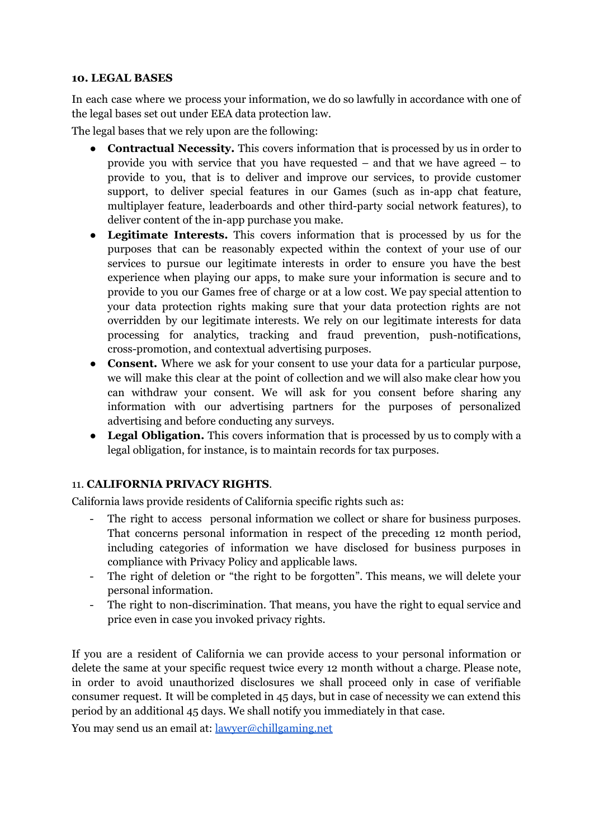#### **10. LEGAL BASES**

In each case where we process your information, we do so lawfully in accordance with one of the legal bases set out under EEA data protection law.

The legal bases that we rely upon are the following:

- **Contractual Necessity.** This covers information that is processed by us in order to provide you with service that you have requested – and that we have agreed – to provide to you, that is to deliver and improve our services, to provide customer support, to deliver special features in our Games (such as in-app chat feature, multiplayer feature, leaderboards and other third-party social network features), to deliver content of the in-app purchase you make.
- **Legitimate Interests.** This covers information that is processed by us for the purposes that can be reasonably expected within the context of your use of our services to pursue our legitimate interests in order to ensure you have the best experience when playing our apps, to make sure your information is secure and to provide to you our Games free of charge or at a low cost. We pay special attention to your data protection rights making sure that your data protection rights are not overridden by our legitimate interests. We rely on our legitimate interests for data processing for analytics, tracking and fraud prevention, push-notifications, cross-promotion, and contextual advertising purposes.
- **Consent.** Where we ask for your consent to use your data for a particular purpose, we will make this clear at the point of collection and we will also make clear how you can withdraw your consent. We will ask for you consent before sharing any information with our advertising partners for the purposes of personalized advertising and before conducting any surveys.
- **Legal Obligation.** This covers information that is processed by us to comply with a legal obligation, for instance, is to maintain records for tax purposes.

### 11. **CALIFORNIA PRIVACY RIGHTS**.

California laws provide residents of California specific rights such as:

- The right to access personal information we collect or share for business purposes. That concerns personal information in respect of the preceding 12 month period, including categories of information we have disclosed for business purposes in compliance with Privacy Policy and applicable laws.
- The right of deletion or "the right to be forgotten". This means, we will delete your personal information.
- The right to non-discrimination. That means, you have the right to equal service and price even in case you invoked privacy rights.

If you are a resident of California we can provide access to your personal information or delete the same at your specific request twice every 12 month without a charge. Please note, in order to avoid unauthorized disclosures we shall proceed only in case of verifiable consumer request. It will be completed in 45 days, but in case of necessity we can extend this period by an additional 45 days. We shall notify you immediately in that case.

You may send us an email at: [lawyer@chillgaming.net](mailto:lawyer@chillgaming.net)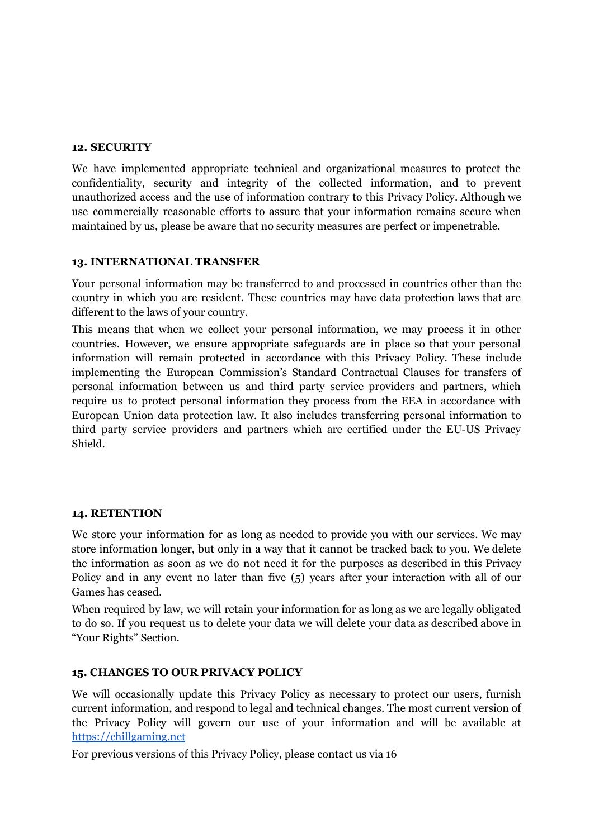#### **12. SECURITY**

We have implemented appropriate technical and organizational measures to protect the confidentiality, security and integrity of the collected information, and to prevent unauthorized access and the use of information contrary to this Privacy Policy. Although we use commercially reasonable efforts to assure that your information remains secure when maintained by us, please be aware that no security measures are perfect or impenetrable.

#### **13. INTERNATIONAL TRANSFER**

Your personal information may be transferred to and processed in countries other than the country in which you are resident. These countries may have data protection laws that are different to the laws of your country.

This means that when we collect your personal information, we may process it in other countries. However, we ensure appropriate safeguards are in place so that your personal information will remain protected in accordance with this Privacy Policy. These include implementing the European Commission's Standard Contractual Clauses for transfers of personal information between us and third party service providers and partners, which require us to protect personal information they process from the EEA in accordance with European Union data protection law. It also includes transferring personal information to third party service providers and partners which are certified under the EU-US Privacy Shield.

#### **14. RETENTION**

We store your information for as long as needed to provide you with our services. We may store information longer, but only in a way that it cannot be tracked back to you. We delete the information as soon as we do not need it for the purposes as described in this Privacy Policy and in any event no later than five (5) years after your interaction with all of our Games has ceased.

When required by law, we will retain your information for as long as we are legally obligated to do so. If you request us to delete your data we will delete your data as described above in "Your Rights" Section.

#### **15. CHANGES TO OUR PRIVACY POLICY**

We will occasionally update this Privacy Policy as necessary to protect our users, furnish current information, and respond to legal and technical changes. The most current version of the Privacy Policy will govern our use of your information and will be available at <https://chillgaming.net>

For previous versions of this Privacy Policy, please contact us via 16